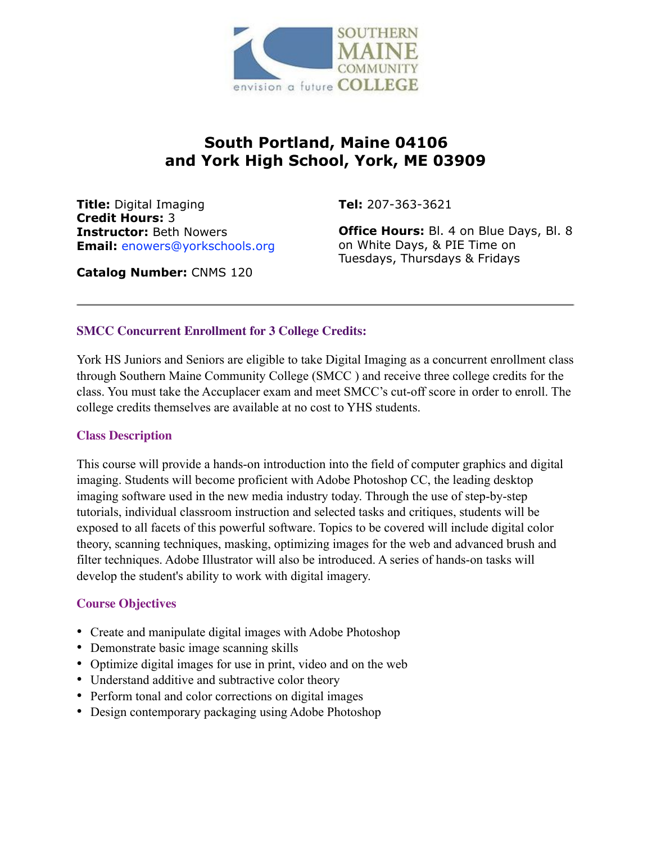

# **South Portland, Maine 04106 and York High School, York, ME 03909**

**Title:** Digital Imaging **Credit Hours:** 3 **Instructor:** Beth Nowers **Email:** enowers@yorkschools.org **Tel:** 207-363-3621

**Office Hours:** Bl. 4 on Blue Days, Bl. 8 on White Days, & PIE Time on Tuesdays, Thursdays & Fridays

**Catalog Number:** CNMS 120

### **SMCC Concurrent Enrollment for 3 College Credits:**

York HS Juniors and Seniors are eligible to take Digital Imaging as a concurrent enrollment class through Southern Maine Community College (SMCC ) and receive three college credits for the class. You must take the Accuplacer exam and meet SMCC's cut-off score in order to enroll. The college credits themselves are available at no cost to YHS students.

### **Class Description**

This course will provide a hands-on introduction into the field of computer graphics and digital imaging. Students will become proficient with Adobe Photoshop CC, the leading desktop imaging software used in the new media industry today. Through the use of step-by-step tutorials, individual classroom instruction and selected tasks and critiques, students will be exposed to all facets of this powerful software. Topics to be covered will include digital color theory, scanning techniques, masking, optimizing images for the web and advanced brush and filter techniques. Adobe Illustrator will also be introduced. A series of hands-on tasks will develop the student's ability to work with digital imagery.

### **Course Objectives**

- Create and manipulate digital images with Adobe Photoshop
- Demonstrate basic image scanning skills
- Optimize digital images for use in print, video and on the web
- Understand additive and subtractive color theory
- Perform tonal and color corrections on digital images
- Design contemporary packaging using Adobe Photoshop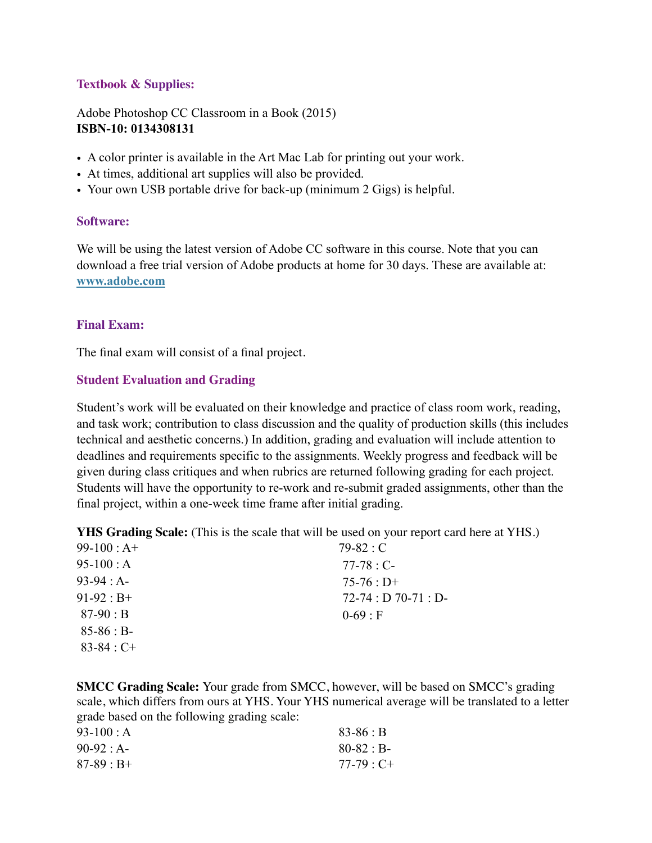#### **Textbook & Supplies:**

Adobe Photoshop CC Classroom in a Book (2015) **ISBN-10: 0134308131**

- A color printer is available in the Art Mac Lab for printing out your work.
- At times, additional art supplies will also be provided.
- Your own USB portable drive for back-up (minimum 2 Gigs) is helpful.

#### **Software:**

We will be using the latest version of Adobe CC software in this course. Note that you can download a free trial version of Adobe products at home for 30 days. These are available at: **[www.adobe.com](http://www.adobe.com)**

#### **Final Exam:**

The final exam will consist of a final project.

#### **Student Evaluation and Grading**

Student's work will be evaluated on their knowledge and practice of class room work, reading, and task work; contribution to class discussion and the quality of production skills (this includes technical and aesthetic concerns.) In addition, grading and evaluation will include attention to deadlines and requirements specific to the assignments. Weekly progress and feedback will be given during class critiques and when rubrics are returned following grading for each project. Students will have the opportunity to re-work and re-submit graded assignments, other than the final project, within a one-week time frame after initial grading.

**YHS Grading Scale:** (This is the scale that will be used on your report card here at YHS.)

| $99-100 : A+$   | $79-82: C$         |
|-----------------|--------------------|
| $95-100$ : A    | $77-78 : C-$       |
| $93-94 : A$     | $75-76: D+$        |
| $91-92 : B+$    | $72-74: D70-71: D$ |
| $87-90 : B$     | $0 - 69 : F$       |
| $85-86 : B$     |                    |
| $83 - 84 : C +$ |                    |
|                 |                    |

**SMCC Grading Scale:** Your grade from SMCC, however, will be based on SMCC's grading scale, which differs from ours at YHS. Your YHS numerical average will be translated to a letter grade based on the following grading scale:

| 93-100 : A   | $83 - 86 : B$     |
|--------------|-------------------|
| $90-92 : A-$ | $80 - 82 : B -$   |
| $87-89 : B+$ | $77-79 \cdot C +$ |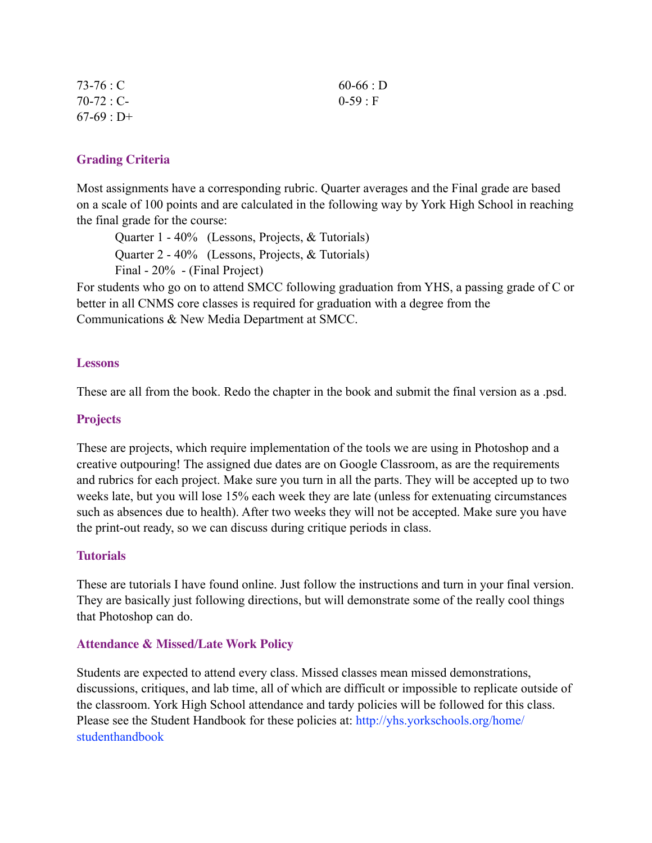| $73-76:C$    | $60-66: D$ |
|--------------|------------|
| $70-72 : C-$ | $0-59:$ F  |
| $67-69 : D+$ |            |

### **Grading Criteria**

Most assignments have a corresponding rubric. Quarter averages and the Final grade are based on a scale of 100 points and are calculated in the following way by York High School in reaching the final grade for the course:

Quarter 1 - 40% (Lessons, Projects, & Tutorials) Quarter 2 - 40% (Lessons, Projects, & Tutorials) Final - 20% - (Final Project)

For students who go on to attend SMCC following graduation from YHS, a passing grade of C or better in all CNMS core classes is required for graduation with a degree from the Communications & New Media Department at SMCC.

#### **Lessons**

These are all from the book. Redo the chapter in the book and submit the final version as a .psd.

#### **Projects**

These are projects, which require implementation of the tools we are using in Photoshop and a creative outpouring! The assigned due dates are on Google Classroom, as are the requirements and rubrics for each project. Make sure you turn in all the parts. They will be accepted up to two weeks late, but you will lose 15% each week they are late (unless for extenuating circumstances such as absences due to health). After two weeks they will not be accepted. Make sure you have the print-out ready, so we can discuss during critique periods in class.

#### **Tutorials**

These are tutorials I have found online. Just follow the instructions and turn in your final version. They are basically just following directions, but will demonstrate some of the really cool things that Photoshop can do.

### **Attendance & Missed/Late Work Policy**

Students are expected to attend every class. Missed classes mean missed demonstrations, discussions, critiques, and lab time, all of which are difficult or impossible to replicate outside of the classroom. York High School attendance and tardy policies will be followed for this class. Please see the Student Handbook for these policies at: http://yhs.yorkschools.org/home/ studenthandbook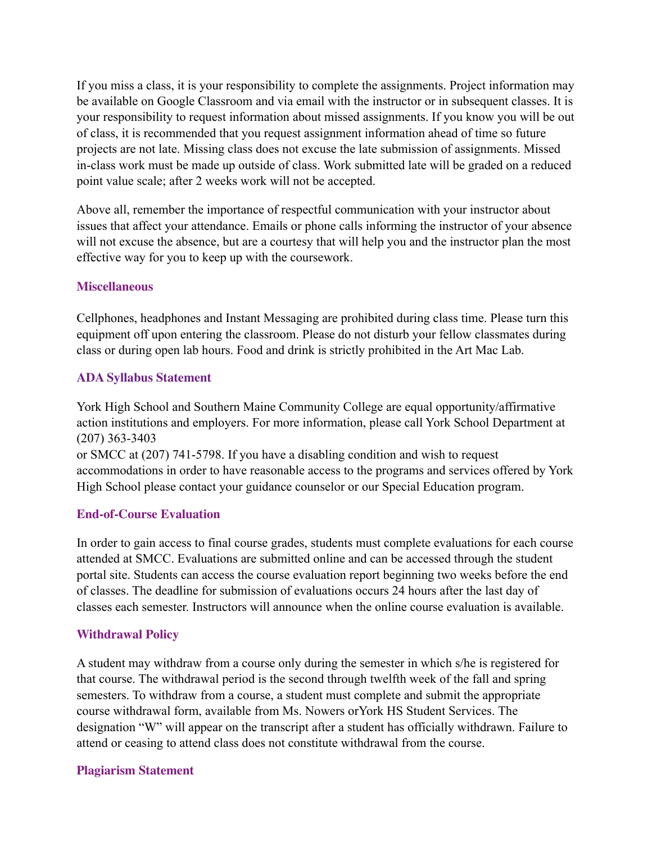If you miss a class, it is your responsibility to complete the assignments. Project information may be available on Google Classroom and via email with the instructor or in subsequent classes. It is your responsibility to request information about missed assignments. If you know you will be out of class, it is recommended that you request assignment information ahead of time so future projects are not late. Missing class does not excuse the late submission of assignments. Missed in-class work must be made up outside of class. Work submitted late will be graded on a reduced point value scale; after 2 weeks work will not be accepted.

Above all, remember the importance of respectful communication with your instructor about issues that affect your attendance. Emails or phone calls informing the instructor of your absence will not excuse the absence, but are a courtesy that will help you and the instructor plan the most effective way for you to keep up with the coursework.

#### **Miscellaneous**

Cellphones, headphones and Instant Messaging are prohibited during class time. Please turn this equipment off upon entering the classroom. Please do not disturb your fellow classmates during class or during open lab hours. Food and drink is strictly prohibited in the Art Mac Lab.

#### **ADA Syllabus Statement**

York High School and Southern Maine Community College are equal opportunity/affirmative action institutions and employers. For more information, please call York School Department at (207) 363-3403 or SMCC at (207) 741-5798. If you have a disabling condition and wish to request

accommodations in order to have reasonable access to the programs and services offered by York High School please contact your guidance counselor or our Special Education program.

#### **End-of-Course Evaluation**

In order to gain access to final course grades, students must complete evaluations for each course attended at SMCC. Evaluations are submitted online and can be accessed through the student portal site. Students can access the course evaluation report beginning two weeks before the end of classes. The deadline for submission of evaluations occurs 24 hours after the last day of classes each semester. Instructors will announce when the online course evaluation is available.

### **Withdrawal Policy**

A student may withdraw from a course only during the semester in which s/he is registered for that course. The withdrawal period is the second through twelfth week of the fall and spring semesters. To withdraw from a course, a student must complete and submit the appropriate course withdrawal form, available from Ms. Nowers orYork HS Student Services. The designation "W" will appear on the transcript after a student has officially withdrawn. Failure to attend or ceasing to attend class does not constitute withdrawal from the course.

### **Plagiarism Statement**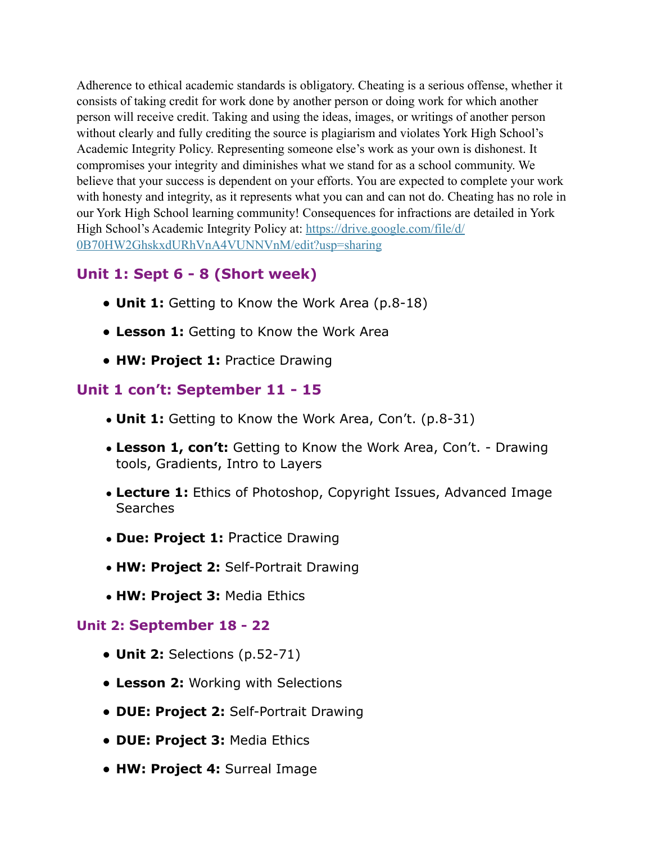Adherence to ethical academic standards is obligatory. Cheating is a serious offense, whether it consists of taking credit for work done by another person or doing work for which another person will receive credit. Taking and using the ideas, images, or writings of another person without clearly and fully crediting the source is plagiarism and violates York High School's Academic Integrity Policy. Representing someone else's work as your own is dishonest. It compromises your integrity and diminishes what we stand for as a school community. We believe that your success is dependent on your efforts. You are expected to complete your work with honesty and integrity, as it represents what you can and can not do. Cheating has no role in our York High School learning community! Consequences for infractions are detailed in York High School's Academic Integrity Policy at: [https://drive.google.com/file/d/](https://drive.google.com/file/d/0B70HW2GhskxdURhVnA4VUNNVnM/edit?usp=sharing) [0B70HW2GhskxdURhVnA4VUNNVnM/edit?usp=sharing](https://drive.google.com/file/d/0B70HW2GhskxdURhVnA4VUNNVnM/edit?usp=sharing)

# **Unit 1: Sept 6 - 8 (Short week)**

- **Unit 1:** Getting to Know the Work Area (p.8-18)
- **Lesson 1:** Getting to Know the Work Area
- **HW: Project 1:** Practice Drawing

### **Unit 1 con't: September 11 - 15**

- **Unit 1:** Getting to Know the Work Area, Con't. (p.8-31)
- **Lesson 1, con't:** Getting to Know the Work Area, Con't. Drawing tools, Gradients, Intro to Layers
- **Lecture 1:** Ethics of Photoshop, Copyright Issues, Advanced Image Searches
- **Due: Project 1:** Practice Drawing
- **HW: Project 2:** Self-Portrait Drawing
- **HW: Project 3:** Media Ethics

### **Unit 2: September 18 - 22**

- **Unit 2:** Selections (p.52-71)
- **Lesson 2:** Working with Selections
- **DUE: Project 2:** Self-Portrait Drawing
- **DUE: Project 3:** Media Ethics
- **HW: Project 4:** Surreal Image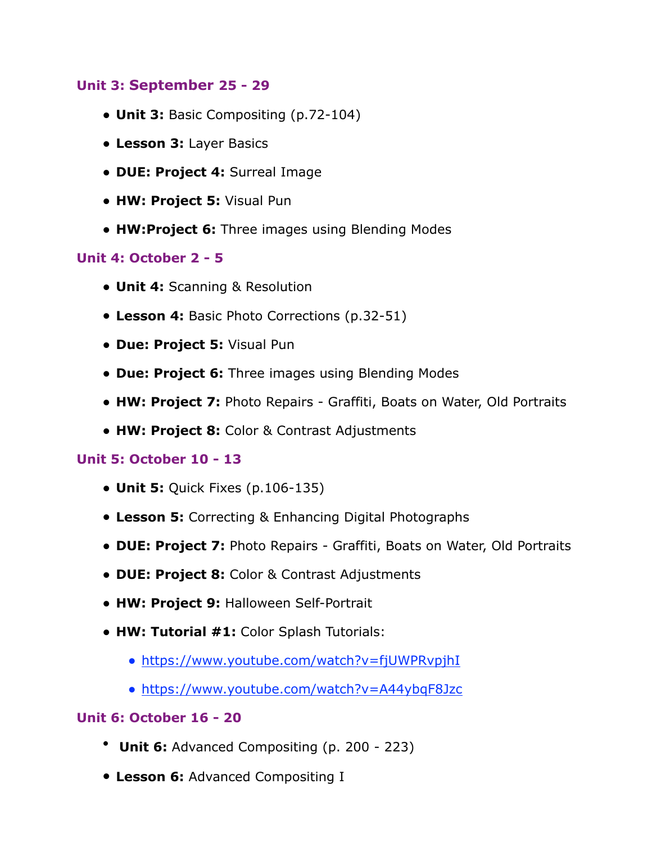### **Unit 3: September 25 - 29**

- **Unit 3:** Basic Compositing (p.72-104)
- **Lesson 3:** Layer Basics
- **DUE: Project 4:** Surreal Image
- **HW: Project 5:** Visual Pun
- **HW:Project 6:** Three images using Blending Modes

### **Unit 4: October 2 - 5**

- **Unit 4:** Scanning & Resolution
- **Lesson 4:** Basic Photo Corrections (p.32-51)
- **Due: Project 5:** Visual Pun
- **Due: Project 6:** Three images using Blending Modes
- **HW: Project 7:** Photo Repairs Graffiti, Boats on Water, Old Portraits
- **HW: Project 8:** Color & Contrast Adjustments

### **Unit 5: October 10 - 13**

- **Unit 5:** Quick Fixes (p.106-135)
- **Lesson 5:** Correcting & Enhancing Digital Photographs
- **DUE: Project 7:** Photo Repairs Graffiti, Boats on Water, Old Portraits
- **DUE: Project 8:** Color & Contrast Adjustments
- **HW: Project 9:** Halloween Self-Portrait
- **HW: Tutorial #1:** Color Splash Tutorials:
	- <https://www.youtube.com/watch?v=fjUWPRvpjhI>
	- <https://www.youtube.com/watch?v=A44ybqF8Jzc>

### **Unit 6: October 16 - 20**

- **Unit 6:** Advanced Compositing (p. 200 223)
- **Lesson 6:** Advanced Compositing I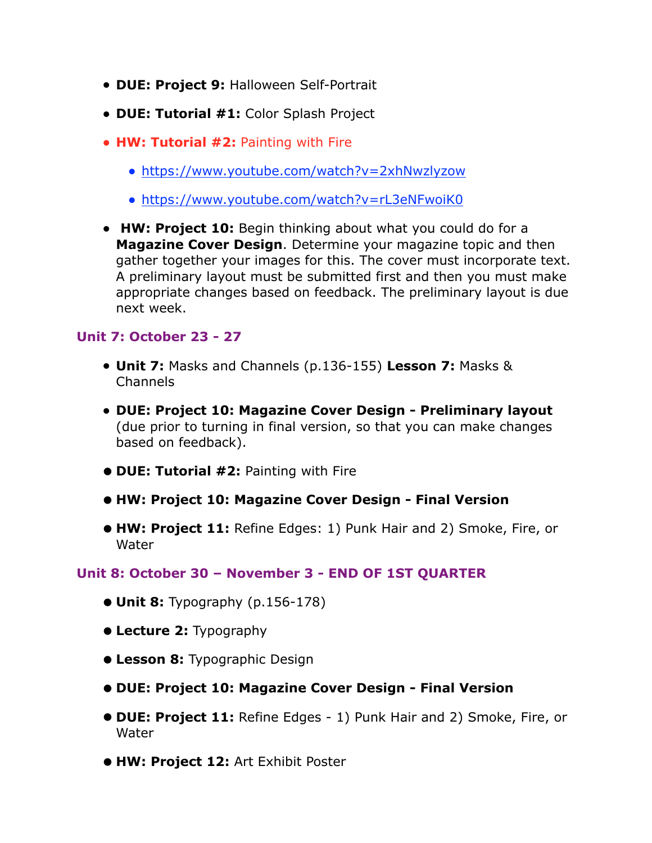- **DUE: Project 9:** Halloween Self-Portrait
- **DUE: Tutorial #1:** Color Splash Project
- **HW: Tutorial #2:** Painting with Fire
	- <https://www.youtube.com/watch?v=2xhNwzlyzow>
	- <https://www.youtube.com/watch?v=rL3eNFwoiK0>
- **HW: Project 10:** Begin thinking about what you could do for a **Magazine Cover Design**. Determine your magazine topic and then gather together your images for this. The cover must incorporate text. A preliminary layout must be submitted first and then you must make appropriate changes based on feedback. The preliminary layout is due next week.

### **Unit 7: October 23 - 27**

- **Unit 7:** Masks and Channels (p.136-155) **Lesson 7:** Masks & Channels
- **DUE: Project 10: Magazine Cover Design Preliminary layout**  (due prior to turning in final version, so that you can make changes based on feedback).
- **• DUE: Tutorial #2:** Painting with Fire
- **• HW: Project 10: Magazine Cover Design Final Version**
- **• HW: Project 11:** Refine Edges: 1) Punk Hair and 2) Smoke, Fire, or Water

### **Unit 8: October 30 – November 3 - END OF 1ST QUARTER**

- **• Unit 8:** Typography (p.156-178)
- **• Lecture 2:** Typography
- **• Lesson 8:** Typographic Design
- **• DUE: Project 10: Magazine Cover Design Final Version**
- **• DUE: Project 11:** Refine Edges 1) Punk Hair and 2) Smoke, Fire, or Water
- **• HW: Project 12:** Art Exhibit Poster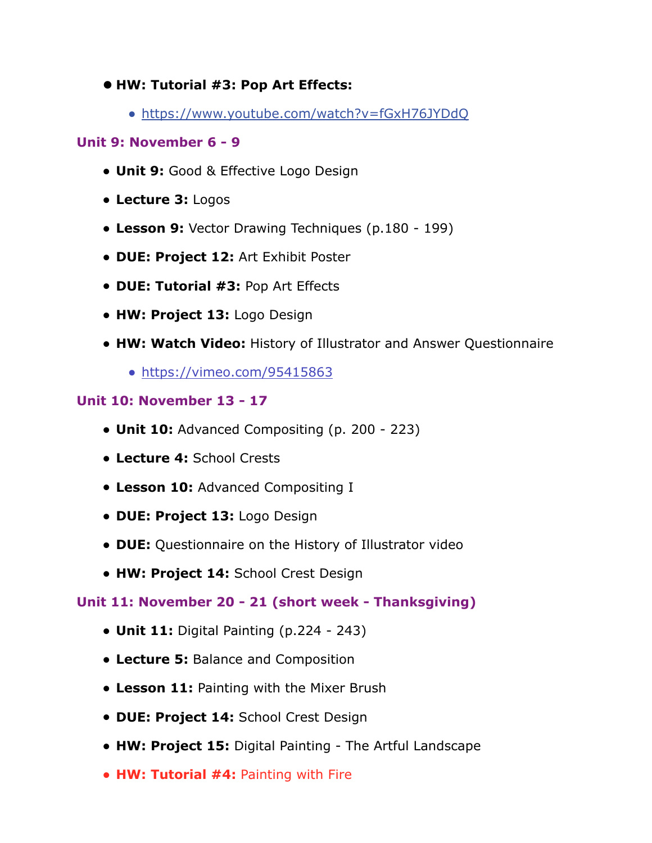- **• HW: Tutorial #3: Pop Art Effects:** 
	- <https://www.youtube.com/watch?v=fGxH76JYDdQ>

### **Unit 9: November 6 - 9**

- **Unit 9:** Good & Effective Logo Design
- **Lecture 3:** Logos
- **Lesson 9:** Vector Drawing Techniques (p.180 199)
- **DUE: Project 12:** Art Exhibit Poster
- **DUE: Tutorial #3:** Pop Art Effects
- **HW: Project 13:** Logo Design
- **HW: Watch Video:** History of Illustrator and Answer Questionnaire
	- <https://vimeo.com/95415863>

### **Unit 10: November 13 - 17**

- **Unit 10:** Advanced Compositing (p. 200 223)
- **Lecture 4:** School Crests
- **Lesson 10:** Advanced Compositing I
- **DUE: Project 13:** Logo Design
- **DUE:** Questionnaire on the History of Illustrator video
- **HW: Project 14:** School Crest Design

# **Unit 11: November 20 - 21 (short week - Thanksgiving)**

- **Unit 11:** Digital Painting (p.224 243)
- **Lecture 5:** Balance and Composition
- **Lesson 11:** Painting with the Mixer Brush
- **DUE: Project 14:** School Crest Design
- **HW: Project 15:** Digital Painting The Artful Landscape
- **HW: Tutorial #4:** Painting with Fire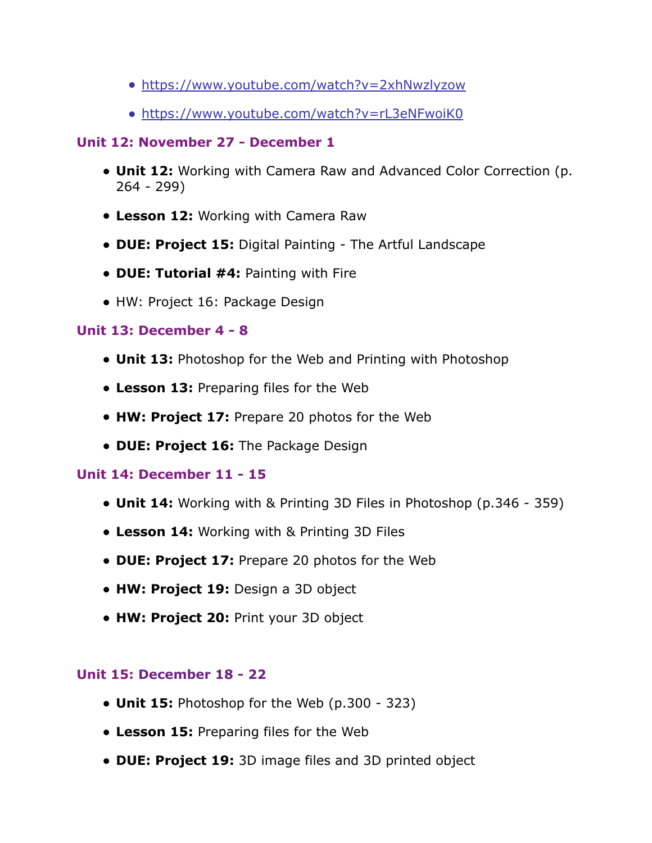- <https://www.youtube.com/watch?v=2xhNwzlyzow>
- <https://www.youtube.com/watch?v=rL3eNFwoiK0>

# **Unit 12: November 27 - December 1**

- **Unit 12:** Working with Camera Raw and Advanced Color Correction (p. 264 - 299)
- **Lesson 12:** Working with Camera Raw
- **DUE: Project 15:** Digital Painting The Artful Landscape
- **DUE: Tutorial #4:** Painting with Fire
- HW: Project 16: Package Design

# **Unit 13: December 4 - 8**

- **Unit 13:** Photoshop for the Web and Printing with Photoshop
- **Lesson 13:** Preparing files for the Web
- **HW: Project 17:** Prepare 20 photos for the Web
- **DUE: Project 16:** The Package Design

# **Unit 14: December 11 - 15**

- **Unit 14:** Working with & Printing 3D Files in Photoshop (p.346 359)
- **Lesson 14:** Working with & Printing 3D Files
- **DUE: Project 17:** Prepare 20 photos for the Web
- **HW: Project 19:** Design a 3D object
- **HW: Project 20:** Print your 3D object

# **Unit 15: December 18 - 22**

- **Unit 15:** Photoshop for the Web (p.300 323)
- **Lesson 15:** Preparing files for the Web
- **DUE: Project 19:** 3D image files and 3D printed object